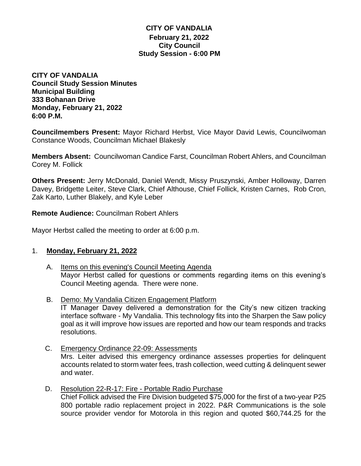### **CITY OF VANDALIA February 21, 2022 City Council Study Session - 6:00 PM**

**CITY OF VANDALIA Council Study Session Minutes Municipal Building 333 Bohanan Drive Monday, February 21, 2022 6:00 P.M.**

**Councilmembers Present:** Mayor Richard Herbst, Vice Mayor David Lewis, Councilwoman Constance Woods, Councilman Michael Blakesly

**Members Absent:** Councilwoman Candice Farst, Councilman Robert Ahlers, and Councilman Corey M. Follick

**Others Present:** Jerry McDonald, Daniel Wendt, Missy Pruszynski, Amber Holloway, Darren Davey, Bridgette Leiter, Steve Clark, Chief Althouse, Chief Follick, Kristen Carnes, Rob Cron, Zak Karto, Luther Blakely, and Kyle Leber

**Remote Audience:** Councilman Robert Ahlers

Mayor Herbst called the meeting to order at 6:00 p.m.

### 1. **Monday, February 21, 2022**

- A. Items on this evening's Council Meeting Agenda Mayor Herbst called for questions or comments regarding items on this evening's Council Meeting agenda. There were none.
- B. Demo: My Vandalia Citizen Engagement Platform IT Manager Davey delivered a demonstration for the City's new citizen tracking interface software - My Vandalia. This technology fits into the Sharpen the Saw policy goal as it will improve how issues are reported and how our team responds and tracks resolutions.
- C. Emergency Ordinance 22-09: Assessments Mrs. Leiter advised this emergency ordinance assesses properties for delinquent accounts related to storm water fees, trash collection, weed cutting & delinquent sewer and water.
- D. Resolution 22-R-17: Fire Portable Radio Purchase Chief Follick advised the Fire Division budgeted \$75,000 for the first of a two-year P25 800 portable radio replacement project in 2022. P&R Communications is the sole source provider vendor for Motorola in this region and quoted \$60,744.25 for the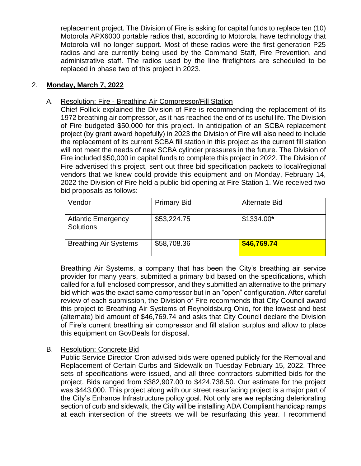replacement project. The Division of Fire is asking for capital funds to replace ten (10) Motorola APX6000 portable radios that, according to Motorola, have technology that Motorola will no longer support. Most of these radios were the first generation P25 radios and are currently being used by the Command Staff, Fire Prevention, and administrative staff. The radios used by the line firefighters are scheduled to be replaced in phase two of this project in 2023.

## 2. **Monday, March 7, 2022**

## A. Resolution: Fire - Breathing Air Compressor/Fill Station

Chief Follick explained the Division of Fire is recommending the replacement of its 1972 breathing air compressor, as it has reached the end of its useful life. The Division of Fire budgeted \$50,000 for this project. In anticipation of an SCBA replacement project (by grant award hopefully) in 2023 the Division of Fire will also need to include the replacement of its current SCBA fill station in this project as the current fill station will not meet the needs of new SCBA cylinder pressures in the future. The Division of Fire included \$50,000 in capital funds to complete this project in 2022. The Division of Fire advertised this project, sent out three bid specification packets to local/regional vendors that we knew could provide this equipment and on Monday, February 14, 2022 the Division of Fire held a public bid opening at Fire Station 1. We received two bid proposals as follows:

| Vendor                                        | <b>Primary Bid</b> | Alternate Bid |
|-----------------------------------------------|--------------------|---------------|
| <b>Atlantic Emergency</b><br><b>Solutions</b> | \$53,224.75        | \$1334.00*    |
| <b>Breathing Air Systems</b>                  | \$58,708.36        | \$46,769.74   |

Breathing Air Systems, a company that has been the City's breathing air service provider for many years, submitted a primary bid based on the specifications, which called for a full enclosed compressor, and they submitted an alternative to the primary bid which was the exact same compressor but in an "open" configuration. After careful review of each submission, the Division of Fire recommends that City Council award this project to Breathing Air Systems of Reynoldsburg Ohio, for the lowest and best (alternate) bid amount of \$46,769.74 and asks that City Council declare the Division of Fire's current breathing air compressor and fill station surplus and allow to place this equipment on GovDeals for disposal.

### B. Resolution: Concrete Bid

Public Service Director Cron advised bids were opened publicly for the Removal and Replacement of Certain Curbs and Sidewalk on Tuesday February 15, 2022. Three sets of specifications were issued, and all three contractors submitted bids for the project. Bids ranged from \$382,907.00 to \$424,738.50. Our estimate for the project was \$443,000. This project along with our street resurfacing project is a major part of the City's Enhance Infrastructure policy goal. Not only are we replacing deteriorating section of curb and sidewalk, the City will be installing ADA Compliant handicap ramps at each intersection of the streets we will be resurfacing this year. I recommend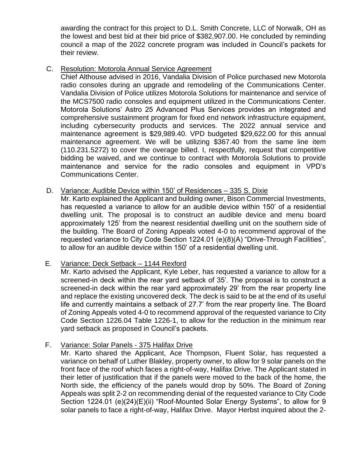awarding the contract for this project to D.L. Smith Concrete, LLC of Norwalk, OH as the lowest and best bid at their bid price of \$382,907.00. He concluded by reminding council a map of the 2022 concrete program was included in Council's packets for their review.

C. Resolution: Motorola Annual Service Agreement

Chief Althouse advised in 2016, Vandalia Division of Police purchased new Motorola radio consoles during an upgrade and remodeling of the Communications Center. Vandalia Division of Police utilizes Motorola Solutions for maintenance and service of the MCS7500 radio consoles and equipment utilized in the Communications Center. Motorola Solutions' Astro 25 Advanced Plus Services provides an integrated and comprehensive sustainment program for fixed end network infrastructure equipment, including cybersecurity products and services. The 2022 annual service and maintenance agreement is \$29,989.40. VPD budgeted \$29,622.00 for this annual maintenance agreement. We will be utilizing \$367.40 from the same line item (110.231.5272) to cover the overage billed. I, respectfully, request that competitive bidding be waived, and we continue to contract with Motorola Solutions to provide maintenance and service for the radio consoles and equipment in VPD's Communications Center.

## D. Variance: Audible Device within 150' of Residences – 335 S. Dixie

Mr. Karto explained the Applicant and building owner, Bison Commercial Investments, has requested a variance to allow for an audible device within 150' of a residential dwelling unit. The proposal is to construct an audible device and menu board approximately 125' from the nearest residential dwelling unit on the southern side of the building. The Board of Zoning Appeals voted 4-0 to recommend approval of the requested variance to City Code Section 1224.01 (e)(8)(A) "Drive-Through Facilities", to allow for an audible device within 150' of a residential dwelling unit.

## E. Variance: Deck Setback – 1144 Rexford

Mr. Karto advised the Applicant, Kyle Leber, has requested a variance to allow for a screened-in deck within the rear yard setback of 35'. The proposal is to construct a screened-in deck within the rear yard approximately 29' from the rear property line and replace the existing uncovered deck. The deck is said to be at the end of its useful life and currently maintains a setback of 27.7' from the rear property line. The Board of Zoning Appeals voted 4-0 to recommend approval of the requested variance to City Code Section 1226.04 Table 1226-1, to allow for the reduction in the minimum rear yard setback as proposed in Council's packets.

F. Variance: Solar Panels - 375 Halifax Drive

Mr. Karto shared the Applicant, Ace Thompson, Fluent Solar, has requested a variance on behalf of Luther Blakley, property owner, to allow for 9 solar panels on the front face of the roof which faces a right-of-way, Halifax Drive. The Applicant stated in their letter of justification that if the panels were moved to the back of the home, the North side, the efficiency of the panels would drop by 50%. The Board of Zoning Appeals was split 2-2 on recommending denial of the requested variance to City Code Section 1224.01 (e)(24)(E)(ii) "Roof-Mounted Solar Energy Systems", to allow for 9 solar panels to face a right-of-way, Halifax Drive. Mayor Herbst inquired about the 2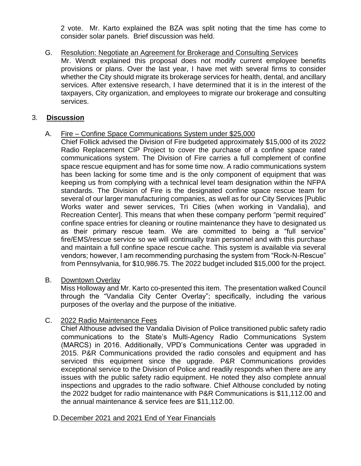2 vote. Mr. Karto explained the BZA was split noting that the time has come to consider solar panels. Brief discussion was held.

# G. Resolution: Negotiate an Agreement for Brokerage and Consulting Services

Mr. Wendt explained this proposal does not modify current employee benefits provisions or plans. Over the last year, I have met with several firms to consider whether the City should migrate its brokerage services for health, dental, and ancillary services. After extensive research, I have determined that it is in the interest of the taxpayers, City organization, and employees to migrate our brokerage and consulting services.

## 3. **Discussion**

## A. Fire – Confine Space Communications System under \$25,000

Chief Follick advised the Division of Fire budgeted approximately \$15,000 of its 2022 Radio Replacement CIP Project to cover the purchase of a confine space rated communications system. The Division of Fire carries a full complement of confine space rescue equipment and has for some time now. A radio communications system has been lacking for some time and is the only component of equipment that was keeping us from complying with a technical level team designation within the NFPA standards. The Division of Fire is the designated confine space rescue team for several of our larger manufacturing companies, as well as for our City Services [Public Works water and sewer services, Tri Cities (when working in Vandalia), and Recreation Center]. This means that when these company perform "permit required" confine space entries for cleaning or routine maintenance they have to designated us as their primary rescue team. We are committed to being a "full service" fire/EMS/rescue service so we will continually train personnel and with this purchase and maintain a full confine space rescue cache. This system is available via several vendors; however, I am recommending purchasing the system from "Rock-N-Rescue" from Pennsylvania, for \$10,986.75. The 2022 budget included \$15,000 for the project.

### B. Downtown Overlay

Miss Holloway and Mr. Karto co-presented this item. The presentation walked Council through the "Vandalia City Center Overlay"; specifically, including the various purposes of the overlay and the purpose of the initiative.

### C. 2022 Radio Maintenance Fees

Chief Althouse advised the Vandalia Division of Police transitioned public safety radio communications to the State's Multi-Agency Radio Communications System (MARCS) in 2016. Additionally, VPD's Communications Center was upgraded in 2015. P&R Communications provided the radio consoles and equipment and has serviced this equipment since the upgrade. P&R Communications provides exceptional service to the Division of Police and readily responds when there are any issues with the public safety radio equipment. He noted they also complete annual inspections and upgrades to the radio software. Chief Althouse concluded by noting the 2022 budget for radio maintenance with P&R Communications is \$11,112.00 and the annual maintenance & service fees are \$11,112.00.

### D.December 2021 and 2021 End of Year Financials